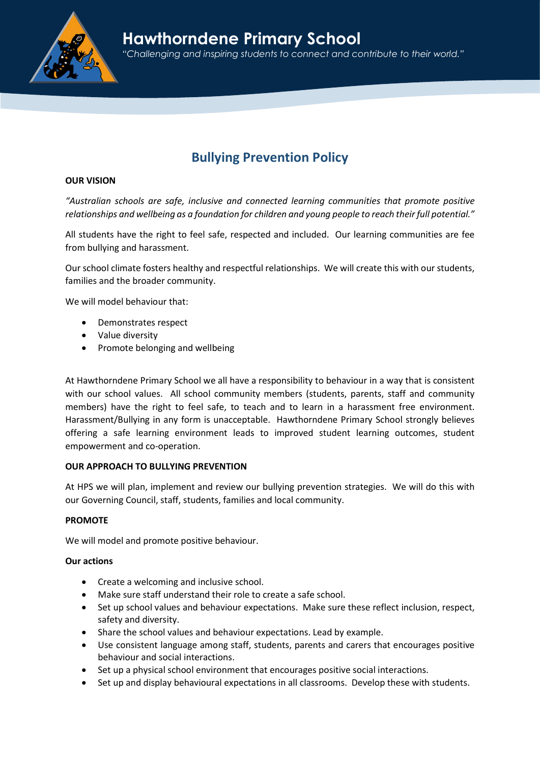

# Hawthorndene Primary School

"Challenging and inspiring students to connect and contribute to their world."

# Bullying Prevention Policy

# OUR VISION

"Australian schools are safe, inclusive and connected learning communities that promote positive relationships and wellbeing as a foundation for children and young people to reach their full potential."

All students have the right to feel safe, respected and included. Our learning communities are fee from bullying and harassment.

Our school climate fosters healthy and respectful relationships. We will create this with our students, families and the broader community.

We will model behaviour that:

- Demonstrates respect
- Value diversity
- Promote belonging and wellbeing

At Hawthorndene Primary School we all have a responsibility to behaviour in a way that is consistent with our school values. All school community members (students, parents, staff and community members) have the right to feel safe, to teach and to learn in a harassment free environment. Harassment/Bullying in any form is unacceptable. Hawthorndene Primary School strongly believes offering a safe learning environment leads to improved student learning outcomes, student empowerment and co-operation.

# OUR APPROACH TO BULLYING PREVENTION

At HPS we will plan, implement and review our bullying prevention strategies. We will do this with our Governing Council, staff, students, families and local community.

# PROMOTE

We will model and promote positive behaviour.

# Our actions

- Create a welcoming and inclusive school.
- Make sure staff understand their role to create a safe school.
- Set up school values and behaviour expectations. Make sure these reflect inclusion, respect, safety and diversity.
- Share the school values and behaviour expectations. Lead by example.
- Use consistent language among staff, students, parents and carers that encourages positive behaviour and social interactions.
- Set up a physical school environment that encourages positive social interactions.
- Set up and display behavioural expectations in all classrooms. Develop these with students.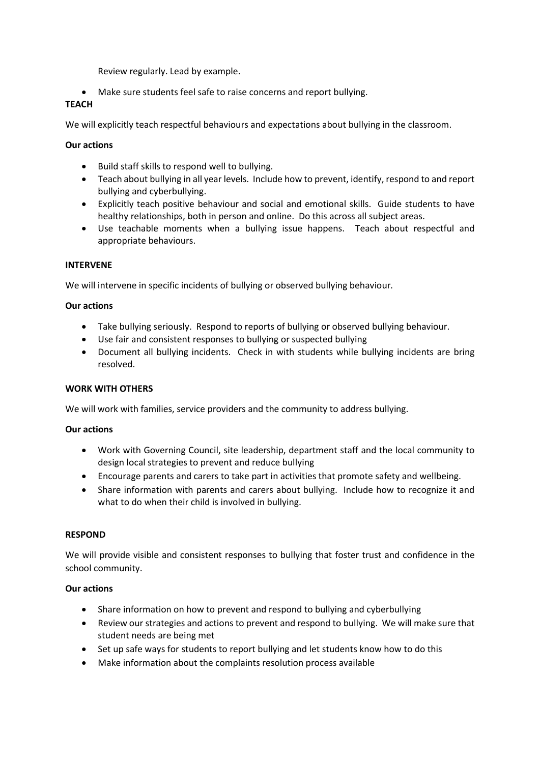Review regularly. Lead by example.

Make sure students feel safe to raise concerns and report bullying.

# **TEACH**

We will explicitly teach respectful behaviours and expectations about bullying in the classroom.

# Our actions

- Build staff skills to respond well to bullying.
- Teach about bullying in all year levels. Include how to prevent, identify, respond to and report bullying and cyberbullying.
- Explicitly teach positive behaviour and social and emotional skills. Guide students to have healthy relationships, both in person and online. Do this across all subject areas.
- Use teachable moments when a bullying issue happens. Teach about respectful and appropriate behaviours.

# INTERVENE

We will intervene in specific incidents of bullying or observed bullying behaviour.

# Our actions

- Take bullying seriously. Respond to reports of bullying or observed bullying behaviour.
- Use fair and consistent responses to bullying or suspected bullying
- Document all bullying incidents. Check in with students while bullying incidents are bring resolved.

# WORK WITH OTHERS

We will work with families, service providers and the community to address bullying.

# Our actions

- Work with Governing Council, site leadership, department staff and the local community to design local strategies to prevent and reduce bullying
- Encourage parents and carers to take part in activities that promote safety and wellbeing.
- Share information with parents and carers about bullying. Include how to recognize it and what to do when their child is involved in bullying.

# RESPOND

We will provide visible and consistent responses to bullying that foster trust and confidence in the school community.

# Our actions

- Share information on how to prevent and respond to bullying and cyberbullying
- Review our strategies and actions to prevent and respond to bullying. We will make sure that student needs are being met
- Set up safe ways for students to report bullying and let students know how to do this
- Make information about the complaints resolution process available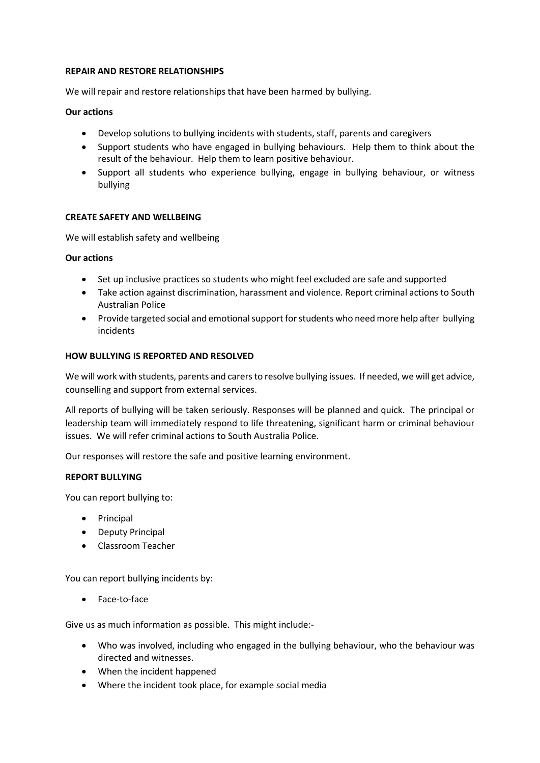#### REPAIR AND RESTORE RELATIONSHIPS

We will repair and restore relationships that have been harmed by bullying.

# Our actions

- Develop solutions to bullying incidents with students, staff, parents and caregivers
- Support students who have engaged in bullying behaviours. Help them to think about the result of the behaviour. Help them to learn positive behaviour.
- Support all students who experience bullying, engage in bullying behaviour, or witness bullying

# CREATE SAFETY AND WELLBEING

We will establish safety and wellbeing

# Our actions

- Set up inclusive practices so students who might feel excluded are safe and supported
- Take action against discrimination, harassment and violence. Report criminal actions to South Australian Police
- Provide targeted social and emotional support for students who need more help after bullying incidents

# HOW BULLYING IS REPORTED AND RESOLVED

We will work with students, parents and carers to resolve bullying issues. If needed, we will get advice, counselling and support from external services.

All reports of bullying will be taken seriously. Responses will be planned and quick. The principal or leadership team will immediately respond to life threatening, significant harm or criminal behaviour issues. We will refer criminal actions to South Australia Police.

Our responses will restore the safe and positive learning environment.

# REPORT BULLYING

You can report bullying to:

- Principal
- Deputy Principal
- Classroom Teacher

You can report bullying incidents by:

Face-to-face

Give us as much information as possible. This might include:-

- Who was involved, including who engaged in the bullying behaviour, who the behaviour was directed and witnesses.
- When the incident happened
- Where the incident took place, for example social media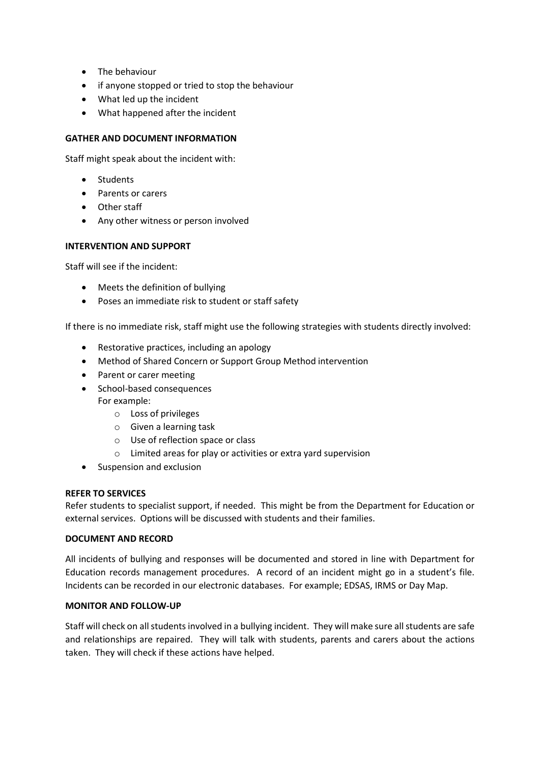- The behaviour
- if anyone stopped or tried to stop the behaviour
- What led up the incident
- What happened after the incident

# GATHER AND DOCUMENT INFORMATION

Staff might speak about the incident with:

- Students
- Parents or carers
- Other staff
- Any other witness or person involved

# INTERVENTION AND SUPPORT

Staff will see if the incident:

- Meets the definition of bullying
- Poses an immediate risk to student or staff safety

If there is no immediate risk, staff might use the following strategies with students directly involved:

- Restorative practices, including an apology
- Method of Shared Concern or Support Group Method intervention
- Parent or carer meeting
- School-based consequences For example:
	- o Loss of privileges
	- o Given a learning task
	- o Use of reflection space or class
	- o Limited areas for play or activities or extra yard supervision
- Suspension and exclusion

# REFER TO SERVICES

Refer students to specialist support, if needed. This might be from the Department for Education or external services. Options will be discussed with students and their families.

# DOCUMENT AND RECORD

All incidents of bullying and responses will be documented and stored in line with Department for Education records management procedures. A record of an incident might go in a student's file. Incidents can be recorded in our electronic databases. For example; EDSAS, IRMS or Day Map.

# MONITOR AND FOLLOW-UP

Staff will check on all students involved in a bullying incident. They will make sure all students are safe and relationships are repaired. They will talk with students, parents and carers about the actions taken. They will check if these actions have helped.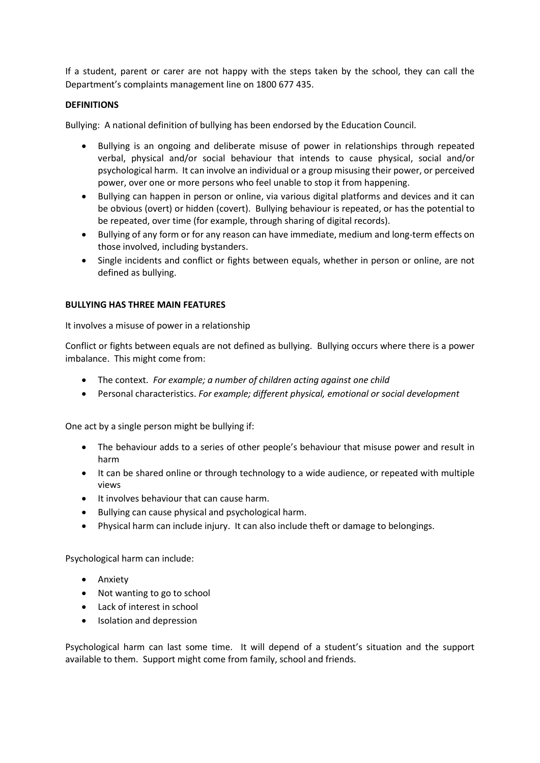If a student, parent or carer are not happy with the steps taken by the school, they can call the Department's complaints management line on 1800 677 435.

# **DEFINITIONS**

Bullying: A national definition of bullying has been endorsed by the Education Council.

- Bullying is an ongoing and deliberate misuse of power in relationships through repeated verbal, physical and/or social behaviour that intends to cause physical, social and/or psychological harm. It can involve an individual or a group misusing their power, or perceived power, over one or more persons who feel unable to stop it from happening.
- Bullying can happen in person or online, via various digital platforms and devices and it can be obvious (overt) or hidden (covert). Bullying behaviour is repeated, or has the potential to be repeated, over time (for example, through sharing of digital records).
- Bullying of any form or for any reason can have immediate, medium and long-term effects on those involved, including bystanders.
- Single incidents and conflict or fights between equals, whether in person or online, are not defined as bullying.

# BULLYING HAS THREE MAIN FEATURES

It involves a misuse of power in a relationship

Conflict or fights between equals are not defined as bullying. Bullying occurs where there is a power imbalance. This might come from:

- The context. For example; a number of children acting against one child
- Personal characteristics. For example; different physical, emotional or social development

One act by a single person might be bullying if:

- The behaviour adds to a series of other people's behaviour that misuse power and result in harm
- It can be shared online or through technology to a wide audience, or repeated with multiple views
- It involves behaviour that can cause harm.
- Bullying can cause physical and psychological harm.
- Physical harm can include injury. It can also include theft or damage to belongings.

Psychological harm can include:

- **•** Anxiety
- Not wanting to go to school
- Lack of interest in school
- Isolation and depression

Psychological harm can last some time. It will depend of a student's situation and the support available to them. Support might come from family, school and friends.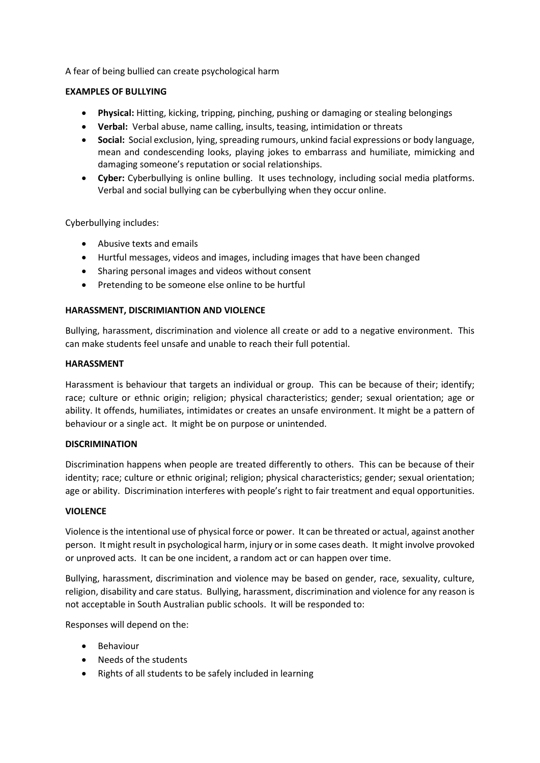A fear of being bullied can create psychological harm

# EXAMPLES OF BULLYING

- Physical: Hitting, kicking, tripping, pinching, pushing or damaging or stealing belongings
- Verbal: Verbal abuse, name calling, insults, teasing, intimidation or threats
- Social: Social exclusion, lying, spreading rumours, unkind facial expressions or body language, mean and condescending looks, playing jokes to embarrass and humiliate, mimicking and damaging someone's reputation or social relationships.
- Cyber: Cyberbullying is online bulling. It uses technology, including social media platforms. Verbal and social bullying can be cyberbullying when they occur online.

Cyberbullying includes:

- Abusive texts and emails
- Hurtful messages, videos and images, including images that have been changed
- Sharing personal images and videos without consent
- Pretending to be someone else online to be hurtful

# HARASSMENT, DISCRIMIANTION AND VIOLENCE

Bullying, harassment, discrimination and violence all create or add to a negative environment. This can make students feel unsafe and unable to reach their full potential.

# HARASSMENT

Harassment is behaviour that targets an individual or group. This can be because of their; identify; race; culture or ethnic origin; religion; physical characteristics; gender; sexual orientation; age or ability. It offends, humiliates, intimidates or creates an unsafe environment. It might be a pattern of behaviour or a single act. It might be on purpose or unintended.

# DISCRIMINATION

Discrimination happens when people are treated differently to others. This can be because of their identity; race; culture or ethnic original; religion; physical characteristics; gender; sexual orientation; age or ability. Discrimination interferes with people's right to fair treatment and equal opportunities.

# **VIOLENCE**

Violence is the intentional use of physical force or power. It can be threated or actual, against another person. It might result in psychological harm, injury or in some cases death. It might involve provoked or unproved acts. It can be one incident, a random act or can happen over time.

Bullying, harassment, discrimination and violence may be based on gender, race, sexuality, culture, religion, disability and care status. Bullying, harassment, discrimination and violence for any reason is not acceptable in South Australian public schools. It will be responded to:

Responses will depend on the:

- **•** Behaviour
- Needs of the students
- Rights of all students to be safely included in learning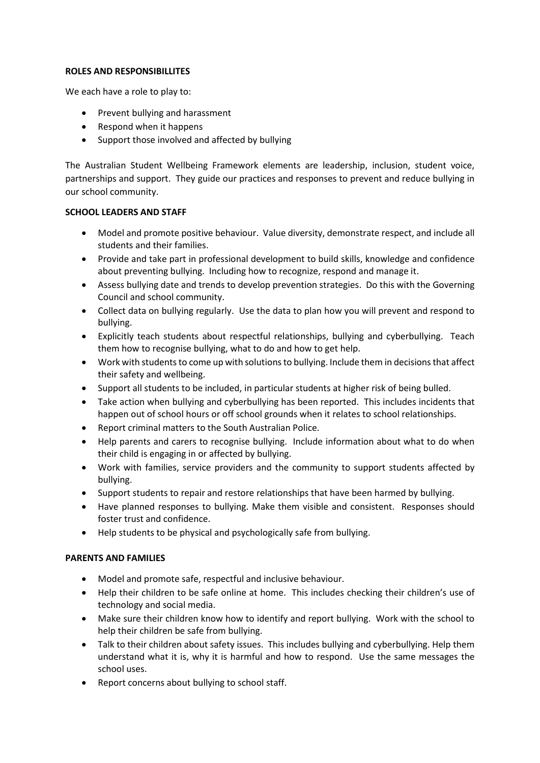#### ROLES AND RESPONSIBILLITES

We each have a role to play to:

- Prevent bullying and harassment
- Respond when it happens
- Support those involved and affected by bullying

The Australian Student Wellbeing Framework elements are leadership, inclusion, student voice, partnerships and support. They guide our practices and responses to prevent and reduce bullying in our school community.

# SCHOOL LEADERS AND STAFF

- Model and promote positive behaviour. Value diversity, demonstrate respect, and include all students and their families.
- Provide and take part in professional development to build skills, knowledge and confidence about preventing bullying. Including how to recognize, respond and manage it.
- Assess bullying date and trends to develop prevention strategies. Do this with the Governing Council and school community.
- Collect data on bullying regularly. Use the data to plan how you will prevent and respond to bullying.
- Explicitly teach students about respectful relationships, bullying and cyberbullying. Teach them how to recognise bullying, what to do and how to get help.
- Work with students to come up with solutions to bullying. Include them in decisions that affect their safety and wellbeing.
- Support all students to be included, in particular students at higher risk of being bulled.
- Take action when bullying and cyberbullying has been reported. This includes incidents that happen out of school hours or off school grounds when it relates to school relationships.
- Report criminal matters to the South Australian Police.
- Help parents and carers to recognise bullying. Include information about what to do when their child is engaging in or affected by bullying.
- Work with families, service providers and the community to support students affected by bullying.
- Support students to repair and restore relationships that have been harmed by bullying.
- Have planned responses to bullying. Make them visible and consistent. Responses should foster trust and confidence.
- Help students to be physical and psychologically safe from bullying.

# PARENTS AND FAMILIES

- Model and promote safe, respectful and inclusive behaviour.
- Help their children to be safe online at home. This includes checking their children's use of technology and social media.
- Make sure their children know how to identify and report bullying. Work with the school to help their children be safe from bullying.
- Talk to their children about safety issues. This includes bullying and cyberbullying. Help them understand what it is, why it is harmful and how to respond. Use the same messages the school uses.
- Report concerns about bullying to school staff.